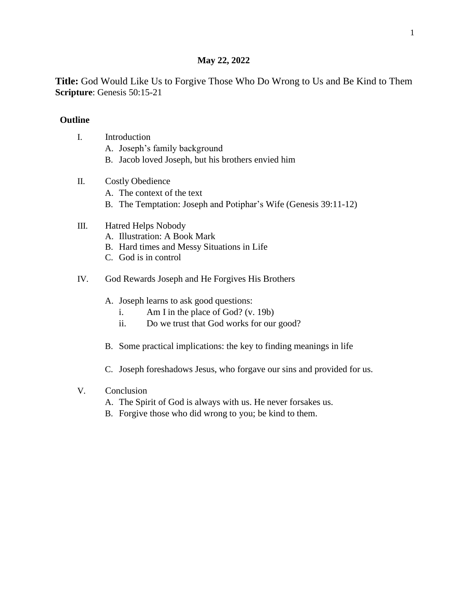### **May 22, 2022**

**Title:** God Would Like Us to Forgive Those Who Do Wrong to Us and Be Kind to Them **Scripture**: Genesis 50:15-21

### **Outline**

- I. Introduction
	- A. Joseph's family background
	- B. Jacob loved Joseph, but his brothers envied him
- II. Costly Obedience
	- A. The context of the text
	- B. The Temptation: Joseph and Potiphar's Wife (Genesis 39:11-12)

# III. Hatred Helps Nobody

- A. Illustration: A Book Mark
- B. Hard times and Messy Situations in Life
- C. God is in control
- IV. God Rewards Joseph and He Forgives His Brothers
	- A. Joseph learns to ask good questions:
		- i. Am I in the place of God? (v. 19b)
		- ii. Do we trust that God works for our good?
	- B. Some practical implications: the key to finding meanings in life
	- C. Joseph foreshadows Jesus, who forgave our sins and provided for us.

# V. Conclusion

- A. The Spirit of God is always with us. He never forsakes us.
- B. Forgive those who did wrong to you; be kind to them.